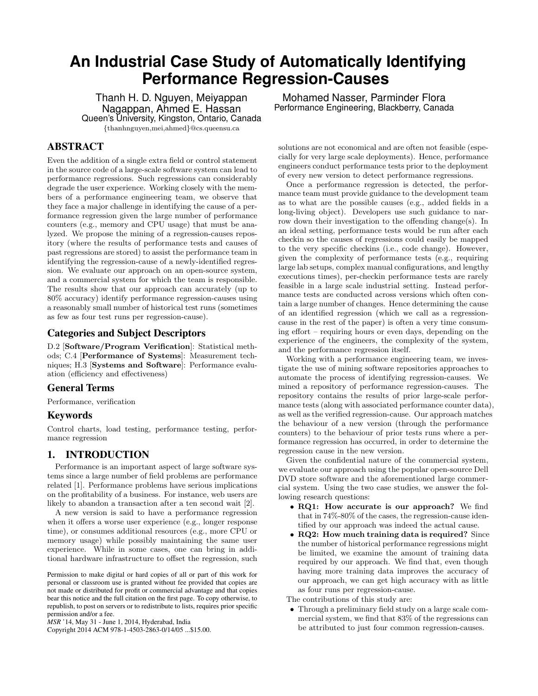# **An Industrial Case Study of Automatically Identifying Performance Regression-Causes**

Thanh H. D. Nguyen, Meiyappan Nagappan, Ahmed E. Hassan Queen's University, Kingston, Ontario, Canada {thanhnguyen,mei,ahmed}@cs.queensu.ca

# ABSTRACT

Even the addition of a single extra field or control statement in the source code of a large-scale software system can lead to performance regressions. Such regressions can considerably degrade the user experience. Working closely with the members of a performance engineering team, we observe that they face a major challenge in identifying the cause of a performance regression given the large number of performance counters (e.g., memory and CPU usage) that must be analyzed. We propose the mining of a regression-causes repository (where the results of performance tests and causes of past regressions are stored) to assist the performance team in identifying the regression-cause of a newly-identified regression. We evaluate our approach on an open-source system, and a commercial system for which the team is responsible. The results show that our approach can accurately (up to 80% accuracy) identify performance regression-causes using a reasonably small number of historical test runs (sometimes as few as four test runs per regression-cause).

# Categories and Subject Descriptors

D.2 [Software/Program Verification]: Statistical methods; C.4 [Performance of Systems]: Measurement techniques; H.3 [Systems and Software]: Performance evaluation (efficiency and effectiveness)

#### General Terms

Performance, verification

# Keywords

Control charts, load testing, performance testing, performance regression

# 1. INTRODUCTION

Performance is an important aspect of large software systems since a large number of field problems are performance related [1]. Performance problems have serious implications on the profitability of a business. For instance, web users are likely to abandon a transaction after a ten second wait [2].

A new version is said to have a performance regression when it offers a worse user experience (e.g., longer response time), or consumes additional resources (e.g., more CPU or memory usage) while possibly maintaining the same user experience. While in some cases, one can bring in additional hardware infrastructure to offset the regression, such

Copyright 2014 ACM 978-1-4503-2863-0/14/05 ...\$15.00.

Mohamed Nasser, Parminder Flora Performance Engineering, Blackberry, Canada

solutions are not economical and are often not feasible (especially for very large scale deployments). Hence, performance engineers conduct performance tests prior to the deployment of every new version to detect performance regressions.

Once a performance regression is detected, the performance team must provide guidance to the development team as to what are the possible causes (e.g., added fields in a long-living object). Developers use such guidance to narrow down their investigation to the offending change(s). In an ideal setting, performance tests would be run after each checkin so the causes of regressions could easily be mapped to the very specific checkins (i.e., code change). However, given the complexity of performance tests (e.g., requiring large lab setups, complex manual configurations, and lengthy executions times), per-checkin performance tests are rarely feasible in a large scale industrial setting. Instead performance tests are conducted across versions which often contain a large number of changes. Hence determining the cause of an identified regression (which we call as a regressioncause in the rest of the paper) is often a very time consuming effort – requiring hours or even days, depending on the experience of the engineers, the complexity of the system, and the performance regression itself.

Working with a performance engineering team, we investigate the use of mining software repositories approaches to automate the process of identifying regression-causes. We mined a repository of performance regression-causes. The repository contains the results of prior large-scale performance tests (along with associated performance counter data), as well as the verified regression-cause. Our approach matches the behaviour of a new version (through the performance counters) to the behaviour of prior tests runs where a performance regression has occurred, in order to determine the regression cause in the new version.

Given the confidential nature of the commercial system, we evaluate our approach using the popular open-source Dell DVD store software and the aforementioned large commercial system. Using the two case studies, we answer the following research questions:

- RQ1: How accurate is our approach? We find that in 74%-80% of the cases, the regression-cause identified by our approach was indeed the actual cause.
- RQ2: How much training data is required? Since the number of historical performance regressions might be limited, we examine the amount of training data required by our approach. We find that, even though having more training data improves the accuracy of our approach, we can get high accuracy with as little as four runs per regression-cause.

The contributions of this study are:

• Through a preliminary field study on a large scale commercial system, we find that 83% of the regressions can be attributed to just four common regression-causes.

Permission to make digital or hard copies of all or part of this work for personal or classroom use is granted without fee provided that copies are not made or distributed for profit or commercial advantage and that copies bear this notice and the full citation on the first page. To copy otherwise, to republish, to post on servers or to redistribute to lists, requires prior specific permission and/or a fee.

*MSR* '14, May 31 - June 1, 2014, Hyderabad, India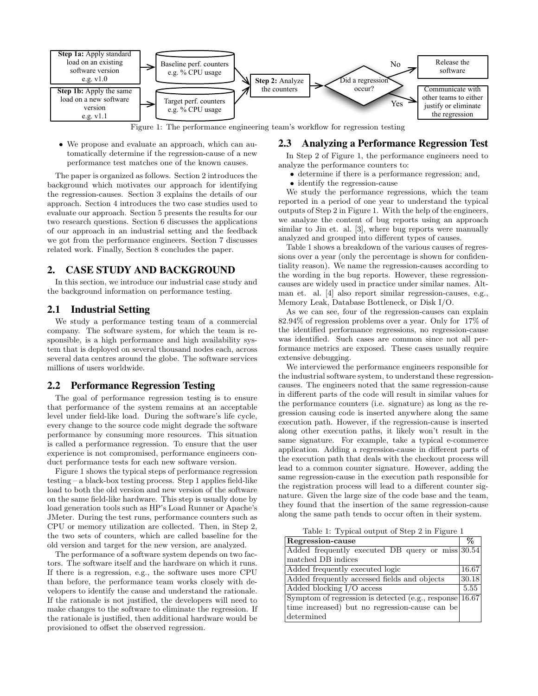

• We propose and evaluate an approach, which can automatically determine if the regression-cause of a new performance test matches one of the known causes.

The paper is organized as follows. Section 2 introduces the background which motivates our approach for identifying the regression-causes. Section 3 explains the details of our approach. Section 4 introduces the two case studies used to evaluate our approach. Section 5 presents the results for our two research questions. Section 6 discusses the applications of our approach in an industrial setting and the feedback we got from the performance engineers. Section 7 discusses related work. Finally, Section 8 concludes the paper.

# 2. CASE STUDY AND BACKGROUND

In this section, we introduce our industrial case study and the background information on performance testing.

## 2.1 Industrial Setting

We study a performance testing team of a commercial company. The software system, for which the team is responsible, is a high performance and high availability system that is deployed on several thousand nodes each, across several data centres around the globe. The software services millions of users worldwide.

## 2.2 Performance Regression Testing

The goal of performance regression testing is to ensure that performance of the system remains at an acceptable level under field-like load. During the software's life cycle, every change to the source code might degrade the software performance by consuming more resources. This situation is called a performance regression. To ensure that the user experience is not compromised, performance engineers conduct performance tests for each new software version.

Figure 1 shows the typical steps of performance regression testing – a black-box testing process. Step 1 applies field-like load to both the old version and new version of the software on the same field-like hardware. This step is usually done by load generation tools such as HP's Load Runner or Apache's JMeter. During the test runs, performance counters such as CPU or memory utilization are collected. Then, in Step 2, the two sets of counters, which are called baseline for the old version and target for the new version, are analyzed.

The performance of a software system depends on two factors. The software itself and the hardware on which it runs. If there is a regression, e.g., the software uses more CPU than before, the performance team works closely with developers to identify the cause and understand the rationale. If the rationale is not justified, the developers will need to make changes to the software to eliminate the regression. If the rationale is justified, then additional hardware would be provisioned to offset the observed regression.

## 2.3 Analyzing a Performance Regression Test

In Step 2 of Figure 1, the performance engineers need to analyze the performance counters to:

- determine if there is a performance regression; and,
- identify the regression-cause

We study the performance regressions, which the team reported in a period of one year to understand the typical outputs of Step 2 in Figure 1. With the help of the engineers, we analyze the content of bug reports using an approach similar to Jin et. al. [3], where bug reports were manually analyzed and grouped into different types of causes.

Table 1 shows a breakdown of the various causes of regressions over a year (only the percentage is shown for confidentiality reason). We name the regression-causes according to the wording in the bug reports. However, these regressioncauses are widely used in practice under similar names. Altman et. al. [4] also report similar regression-causes, e.g., Memory Leak, Database Bottleneck, or Disk I/O.

As we can see, four of the regression-causes can explain 82.94% of regression problems over a year. Only for 17% of the identified performance regressions, no regression-cause was identified. Such cases are common since not all performance metrics are exposed. These cases usually require extensive debugging.

We interviewed the performance engineers responsible for the industrial software system, to understand these regressioncauses. The engineers noted that the same regression-cause in different parts of the code will result in similar values for the performance counters (i.e. signature) as long as the regression causing code is inserted anywhere along the same execution path. However, if the regression-cause is inserted along other execution paths, it likely won't result in the same signature. For example, take a typical e-commerce application. Adding a regression-cause in different parts of the execution path that deals with the checkout process will lead to a common counter signature. However, adding the same regression-cause in the execution path responsible for the registration process will lead to a different counter signature. Given the large size of the code base and the team, they found that the insertion of the same regression-cause along the same path tends to occur often in their system.

Table 1: Typical output of Step 2 in Figure 1

| <b>Regression-cause</b>                                  |                    |
|----------------------------------------------------------|--------------------|
| Added frequently executed DB query or miss 30.54         |                    |
| matched DB indices                                       |                    |
| Added frequently executed logic                          | 16.67              |
| Added frequently accessed fields and objects             | $30.\overline{18}$ |
| Added blocking I/O access                                | 5.55               |
| Symptom of regression is detected (e.g., response 16.67) |                    |
| time increased) but no regression-cause can be           |                    |
| $\lvert \text{determined} \rvert$                        |                    |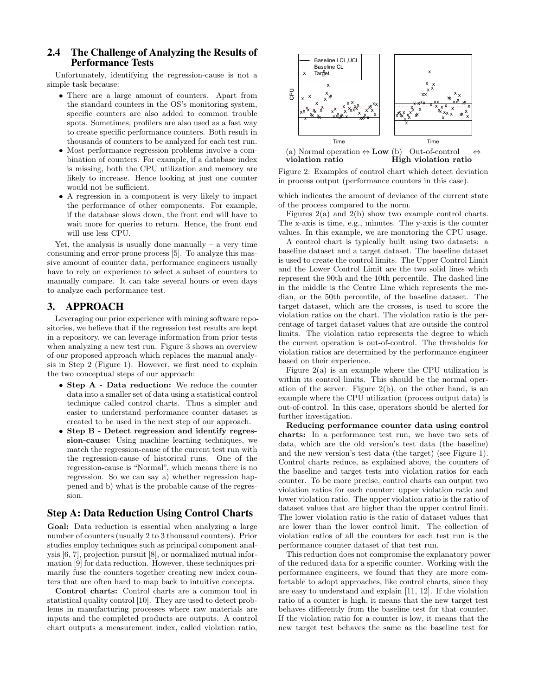# 2.4 The Challenge of Analyzing the Results of Performance Tests

Unfortunately, identifying the regression-cause is not a simple task because:

- There are a large amount of counters. Apart from the standard counters in the OS's monitoring system, specific counters are also added to common trouble spots. Sometimes, profilers are also used as a fast way to create specific performance counters. Both result in thousands of counters to be analyzed for each test run.
- Most performance regression problems involve a combination of counters. For example, if a database index is missing, both the CPU utilization and memory are likely to increase. Hence looking at just one counter would not be sufficient.
- A regression in a component is very likely to impact the performance of other components. For example, if the database slows down, the front end will have to wait more for queries to return. Hence, the front end will use less CPU.

Yet, the analysis is usually done manually  $-$  a very time consuming and error-prone process [5]. To analyze this massive amount of counter data, performance engineers usually have to rely on experience to select a subset of counters to manually compare. It can take several hours or even days to analyze each performance test.

## 3. APPROACH

Leveraging our prior experience with mining software repositories, we believe that if the regression test results are kept in a repository, we can leverage information from prior tests when analyzing a new test run. Figure 3 shows an overview of our proposed approach which replaces the manual analysis in Step 2 (Figure 1). However, we first need to explain the two conceptual steps of our approach:

- Step A Data reduction: We reduce the counter data into a smaller set of data using a statistical control technique called control charts. Thus a simpler and easier to understand performance counter dataset is created to be used in the next step of our approach.
- Step B Detect regression and identify regression-cause: Using machine learning techniques, we match the regression-cause of the current test run with the regression-cause of historical runs. One of the regression-cause is "Normal", which means there is no regression. So we can say a) whether regression happened and b) what is the probable cause of the regression. spectric constrained to community to the control of the control of the control of the control of the control of the control of the control of the measurement counters. Both results in the binasing, both the CPU utilizatio

# Step A: Data Reduction Using Control Charts

Goal: Data reduction is essential when analyzing a large number of counters (usually 2 to 3 thousand counters). Prior studies employ techniques such as principal component analysis [6, 7], projection pursuit [8], or normalized mutual information [9] for data reduction. However, these techniques primarily fuse the counters together creating new index counters that are often hard to map back to intuitive concepts.

Control charts: Control charts are a common tool in statistical quality control [10]. They are used to detect problems in manufacturing processes where raw materials are inputs and the completed products are outputs. A control



violation ratio High violation ratio

Figure 2: Examples of control chart which detect deviation in process output (performance counters in this case).

which indicates the amount of deviance of the current state of the process compared to the norm.

Figures  $2(a)$  and  $2(b)$  show two example control charts. The x-axis is time, e.g., minutes. The y-axis is the counter values. In this example, we are monitoring the CPU usage.

A control chart is typically built using two datasets: a baseline dataset and a target dataset. The baseline dataset is used to create the control limits. The Upper Control Limit and the Lower Control Limit are the two solid lines which represent the 90th and the 10th percentile. The dashed line in the middle is the Centre Line which represents the median, or the 50th percentile, of the baseline dataset. The target dataset, which are the crosses, is used to score the violation ratios on the chart. The violation ratio is the percentage of target dataset values that are outside the control limits. The violation ratio represents the degree to which the current operation is out-of-control. The thresholds for violation ratios are determined by the performance engineer based on their experience.

Figure  $2(a)$  is an example where the CPU utilization is within its control limits. This should be the normal operation of the server. Figure 2(b), on the other hand, is an example where the CPU utilization (process output data) is out-of-control. In this case, operators should be alerted for further investigation.

Reducing performance counter data using control charts: In a performance test run, we have two sets of data, which are the old version's test data (the baseline) and the new version's test data (the target) (see Figure 1). Control charts reduce, as explained above, the counters of the baseline and target tests into violation ratios for each counter. To be more precise, control charts can output two violation ratios for each counter: upper violation ratio and lower violation ratio. The upper violation ratio is the ratio of dataset values that are higher than the upper control limit. The lower violation ratio is the ratio of dataset values that are lower than the lower control limit. The collection of violation ratios of all the counters for each test run is the performance counter dataset of that test run.

This reduction does not compromise the explanatory power of the reduced data for a specific counter. Working with the performance engineers, we found that they are more comfortable to adopt approaches, like control charts, since they are easy to understand and explain [11, 12]. If the violation ratio of a counter is high, it means that the new target test behaves differently from the baseline test for that counter. If the violation ratio for a counter is low, it means that the new target test behaves the same as the baseline test for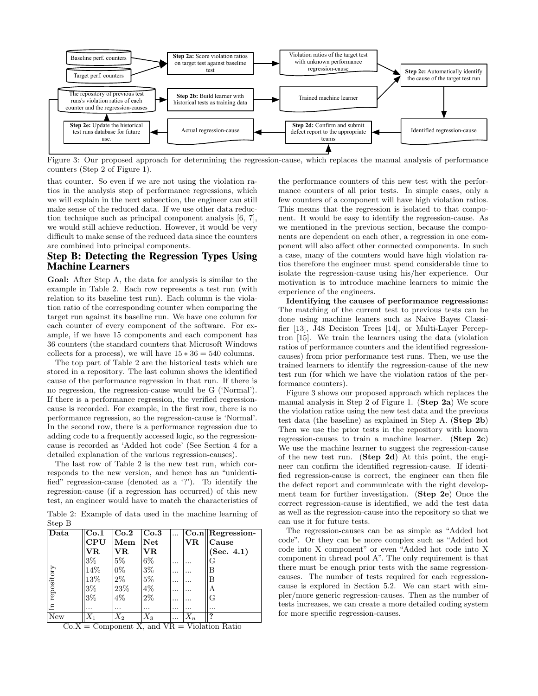

Figure 3: Our proposed approach for determining the regression-cause, which replaces the manual analysis of performance counters (Step 2 of Figure 1).

that counter. So even if we are not using the violation ratios in the analysis step of performance regressions, which we will explain in the next subsection, the engineer can still make sense of the reduced data. If we use other data reduction technique such as principal component analysis [6, 7], we would still achieve reduction. However, it would be very difficult to make sense of the reduced data since the counters are combined into principal components.

## Step B: Detecting the Regression Types Using Machine Learners

Goal: After Step A, the data for analysis is similar to the example in Table 2. Each row represents a test run (with relation to its baseline test run). Each column is the violation ratio of the corresponding counter when comparing the target run against its baseline run. We have one column for each counter of every component of the software. For example, if we have 15 components and each component has 36 counters (the standard counters that Microsoft Windows collects for a process), we will have  $15 * 36 = 540$  columns.

The top part of Table 2 are the historical tests which are stored in a repository. The last column shows the identified cause of the performance regression in that run. If there is no regression, the regression-cause would be G ('Normal'). If there is a performance regression, the verified regressioncause is recorded. For example, in the first row, there is no performance regression, so the regression-cause is 'Normal'. In the second row, there is a performance regression due to adding code to a frequently accessed logic, so the regressioncause is recorded as 'Added hot code' (See Section 4 for a detailed explanation of the various regression-causes).

The last row of Table 2 is the new test run, which corresponds to the new version, and hence has an "unidentified" regression-cause (denoted as a '?'). To identify the regression-cause (if a regression has occurred) of this new test, an engineer would have to match the characteristics of

Table 2: Example of data used in the machine learning of Step B

| Data          | $  \mathbf{Co.1} $<br><b>CPU</b><br>${\bf \rm \bf{VR}}$ | $ \mathbf{Co.2} $<br>Mem<br>${\bf \rm VR}$ | $  \mathbf{Co.3} $<br><b>Net</b><br><b>VR</b> |   | <b>VR</b>           | $ Co.n  $ Regression-<br>Cause<br>(Sec. $4.1$ ) |
|---------------|---------------------------------------------------------|--------------------------------------------|-----------------------------------------------|---|---------------------|-------------------------------------------------|
|               | $3\%$                                                   | $5\%$                                      | $6\%$                                         | . |                     | G                                               |
|               | 14%                                                     | $0\%$                                      | $3\%$                                         |   |                     | B                                               |
|               | 13%                                                     | $2\%$                                      | $5\%$                                         |   |                     | B                                               |
|               | $3\%$                                                   | 23%                                        | $4\%$                                         |   |                     | А                                               |
|               | $3\%$                                                   | $4\%$                                      | $2\%$                                         |   |                     | G                                               |
| In repository | $\cdots$                                                | .                                          | .                                             |   | .                   | .                                               |
| New           |                                                         | $\scriptstyle X_2$                         | $X_3$                                         |   | $\scriptstyle{X_n}$ | ?                                               |

 $Co.X = Component X$ , and  $VR = Violation Ratio$ 

the performance counters of this new test with the performance counters of all prior tests. In simple cases, only a few counters of a component will have high violation ratios. This means that the regression is isolated to that component. It would be easy to identify the regression-cause. As we mentioned in the previous section, because the components are dependent on each other, a regression in one component will also affect other connected components. In such a case, many of the counters would have high violation ratios therefore the engineer must spend considerable time to isolate the regression-cause using his/her experience. Our motivation is to introduce machine learners to mimic the experience of the engineers.

Identifying the causes of performance regressions: The matching of the current test to previous tests can be done using machine leaners such as Naive Bayes Classifier [13], J48 Decision Trees [14], or Multi-Layer Perceptron [15]. We train the learners using the data (violation ratios of performance counters and the identified regressioncauses) from prior performance test runs. Then, we use the trained learners to identify the regression-cause of the new test run (for which we have the violation ratios of the performance counters).

Figure 3 shows our proposed approach which replaces the manual analysis in Step 2 of Figure 1. (Step 2a) We score the violation ratios using the new test data and the previous test data (the baseline) as explained in Step A. (Step 2b) Then we use the prior tests in the repository with known regression-causes to train a machine learner. (Step 2c) We use the machine learner to suggest the regression-cause of the new test run. (Step 2d) At this point, the engineer can confirm the identified regression-cause. If identified regression-cause is correct, the engineer can then file the defect report and communicate with the right development team for further investigation. (Step 2e) Once the correct regression-cause is identified, we add the test data as well as the regression-cause into the repository so that we can use it for future tests.

The regression-causes can be as simple as "Added hot code". Or they can be more complex such as "Added hot code into X component" or even "Added hot code into X component in thread pool A". The only requirement is that there must be enough prior tests with the same regressioncauses. The number of tests required for each regressioncause is explored in Section 5.2. We can start with simpler/more generic regression-causes. Then as the number of tests increases, we can create a more detailed coding system for more specific regression-causes.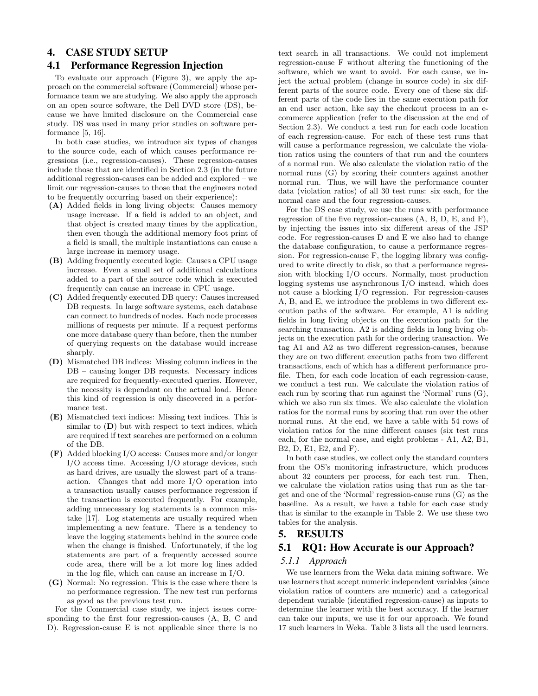# 4. CASE STUDY SETUP

#### 4.1 Performance Regression Injection

To evaluate our approach (Figure 3), we apply the approach on the commercial software (Commercial) whose performance team we are studying. We also apply the approach on an open source software, the Dell DVD store (DS), because we have limited disclosure on the Commercial case study. DS was used in many prior studies on software performance [5, 16].

In both case studies, we introduce six types of changes to the source code, each of which causes performance regressions (i.e., regression-causes). These regression-causes include those that are identified in Section 2.3 (in the future additional regression-causes can be added and explored – we limit our regression-causes to those that the engineers noted to be frequently occurring based on their experience):

- (A) Added fields in long living objects: Causes memory usage increase. If a field is added to an object, and that object is created many times by the application, then even though the additional memory foot print of a field is small, the multiple instantiations can cause a large increase in memory usage.
- (B) Adding frequently executed logic: Causes a CPU usage increase. Even a small set of additional calculations added to a part of the source code which is executed frequently can cause an increase in CPU usage.
- (C) Added frequently executed DB query: Causes increased DB requests. In large software systems, each database can connect to hundreds of nodes. Each node processes millions of requests per minute. If a request performs one more database query than before, then the number of querying requests on the database would increase sharply.
- (D) Mismatched DB indices: Missing column indices in the DB – causing longer DB requests. Necessary indices are required for frequently-executed queries. However, the necessity is dependant on the actual load. Hence this kind of regression is only discovered in a performance test.
- (E) Mismatched text indices: Missing text indices. This is similar to  $(D)$  but with respect to text indices, which are required if text searches are performed on a column of the DB.
- (F) Added blocking I/O access: Causes more and/or longer I/O access time. Accessing I/O storage devices, such as hard drives, are usually the slowest part of a transaction. Changes that add more I/O operation into a transaction usually causes performance regression if the transaction is executed frequently. For example, adding unnecessary log statements is a common mistake [17]. Log statements are usually required when implementing a new feature. There is a tendency to leave the logging statements behind in the source code when the change is finished. Unfortunately, if the log statements are part of a frequently accessed source code area, there will be a lot more log lines added in the log file, which can cause an increase in I/O.
- (G) Normal: No regression. This is the case where there is no performance regression. The new test run performs as good as the previous test run.

For the Commercial case study, we inject issues corresponding to the first four regression-causes (A, B, C and D). Regression-cause E is not applicable since there is no text search in all transactions. We could not implement regression-cause F without altering the functioning of the software, which we want to avoid. For each cause, we inject the actual problem (change in source code) in six different parts of the source code. Every one of these six different parts of the code lies in the same execution path for an end user action, like say the checkout process in an ecommerce application (refer to the discussion at the end of Section 2.3). We conduct a test run for each code location of each regression-cause. For each of these test runs that will cause a performance regression, we calculate the violation ratios using the counters of that run and the counters of a normal run. We also calculate the violation ratio of the normal runs (G) by scoring their counters against another normal run. Thus, we will have the performance counter data (violation ratios) of all 30 test runs: six each, for the normal case and the four regression-causes.

For the DS case study, we use the runs with performance regression of the five regression-causes (A, B, D, E, and F), by injecting the issues into six different areas of the JSP code. For regression-causes D and E we also had to change the database configuration, to cause a performance regression. For regression-cause F, the logging library was configured to write directly to disk, so that a performance regression with blocking I/O occurs. Normally, most production logging systems use asynchronous I/O instead, which does not cause a blocking I/O regression. For regression-causes A, B, and E, we introduce the problems in two different execution paths of the software. For example, A1 is adding fields in long living objects on the execution path for the searching transaction. A2 is adding fields in long living objects on the execution path for the ordering transaction. We tag A1 and A2 as two different regression-causes, because they are on two different execution paths from two different transactions, each of which has a different performance profile. Then, for each code location of each regression-cause, we conduct a test run. We calculate the violation ratios of each run by scoring that run against the 'Normal' runs (G), which we also run six times. We also calculate the violation ratios for the normal runs by scoring that run over the other normal runs. At the end, we have a table with 54 rows of violation ratios for the nine different causes (six test runs each, for the normal case, and eight problems - A1, A2, B1, B2, D, E1, E2, and F).

In both case studies, we collect only the standard counters from the OS's monitoring infrastructure, which produces about 32 counters per process, for each test run. Then, we calculate the violation ratios using that run as the target and one of the 'Normal' regression-cause runs (G) as the baseline. As a result, we have a table for each case study that is similar to the example in Table 2. We use these two tables for the analysis.

# 5. RESULTS

# 5.1 RQ1: How Accurate is our Approach?

#### *5.1.1 Approach*

We use learners from the Weka data mining software. We use learners that accept numeric independent variables (since violation ratios of counters are numeric) and a categorical dependent variable (identified regression-cause) as inputs to determine the learner with the best accuracy. If the learner can take our inputs, we use it for our approach. We found 17 such learners in Weka. Table 3 lists all the used learners.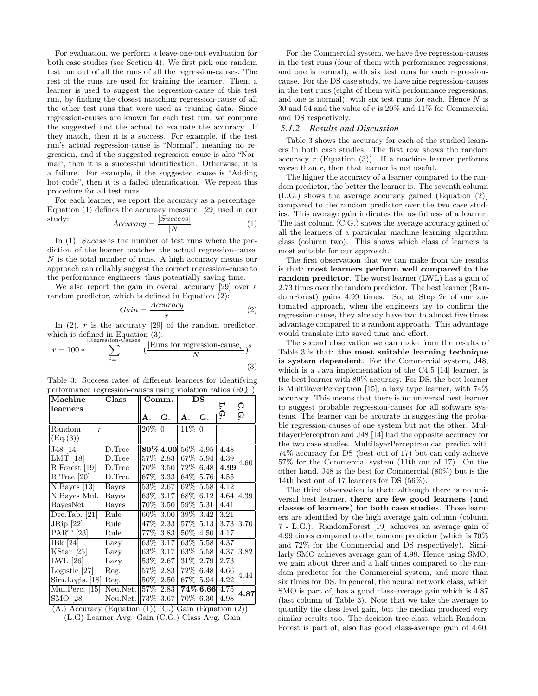For evaluation, we perform a leave-one-out evaluation for both case studies (see Section 4). We first pick one random test run out of all the runs of all the regression-causes. The rest of the runs are used for training the learner. Then, a learner is used to suggest the regression-cause of this test run, by finding the closest matching regression-cause of all the other test runs that were used as training data. Since regression-causes are known for each test run, we compare the suggested and the actual to evaluate the accuracy. If they match, then it is a success. For example, if the test run's actual regression-cause is "Normal", meaning no regression, and if the suggested regression-cause is also "Normal", then it is a successful identification. Otherwise, it is a failure. For example, if the suggested cause is "Adding hot code", then it is a failed identification. We repeat this procedure for all test runs.

For each learner, we report the accuracy as a percentage. Equation (1) defines the accuracy measure [29] used in our  $_{\mbox{\scriptsize study:}}$  $|C_{triagonal}$  $\Box$ 

$$
Accuracy = \frac{|Saccess|}{|N|} \tag{1}
$$

In (1), Sucess is the number of test runs where the prediction of the learner matches the actual regression-cause.  $N$  is the total number of runs. A high accuracy means our approach can reliably suggest the correct regression-cause to the performance engineers, thus potentially saving time.

We also report the gain in overall accuracy [29] over a random predictor, which is defined in Equation (2):

$$
Gain = \frac{Accuracy}{r}
$$
 (2)

In  $(2)$ , r is the accuracy  $[29]$  of the random predictor, which is defined in Equation  $(3)$ :

$$
r = 100 * \sum_{i=1}^{\lfloor \log \text{Cosses} \rfloor - \text{Causs} \rfloor} \left( \frac{|\text{Runs for regression-cause}_i|}{N} \right)^2
$$
\n(3)

Table 3: Success rates of different learners for identifying performance regression-causes using violation ratios (RQ1).

| Machine                  | Class        | Comm.      |                  | DS     |                           |        |      |
|--------------------------|--------------|------------|------------------|--------|---------------------------|--------|------|
| learners                 |              |            |                  |        | L.G                       | ດ<br>ດ |      |
|                          |              | А.         | $\overline{G}$ . | А.     | $\overline{\mathbf{G}}$ . |        |      |
| Random<br>$\overline{r}$ |              | $20\%$     | $\overline{0}$   | 11\%   | $\theta$                  |        |      |
| (Eq.(3))                 |              |            |                  |        |                           |        |      |
| J48 [14]                 | D.Tree       |            | 80\% 4.00        | 56%    | 4.95                      | 4.48   |      |
| LMT $[18]$               | D.Tree       | $57\%$     | 2.83             | $67\%$ | 5.94                      | 4.39   | 4.60 |
| R.Forest [19]            | D.Tree       | $70\%$     | 3.50             | $72\%$ | 6.48                      | 4.99   |      |
| $R$ . Tree [20]          | D.Tree       | $67\%$     | 3.33             | 64%    | 5.76                      | 4.55   |      |
| N.Baves [13]             | Bayes        |            | 53\% 2.67        | $62\%$ | 5.58                      | 4.12   |      |
| N.Bayes Mul.             | Bayes        | $63\%$     | 3.17             | $68\%$ | 6.12                      | 4.64   | 4.39 |
| BayesNet                 | <b>Bayes</b> | $70\%$     | 3.50             | $59\%$ | 5.31                      | 4.41   |      |
| Dec.Tab. $[21]$          | Rule         | $60\%$     | 3.00             | $39\%$ | 3.42                      | 3.21   |      |
| $J\mathrm{Rip}$ [22]     | Rule         | 47%        | 2.33             | $57\%$ | 5.13                      | 3.73   | 3.70 |
| PART [23]                | Rule         | 77%        | 3.83             | $50\%$ | 4.50                      | 4.17   |      |
| IB $k$ [24]              | Lazy         | $63\%$     | 3.17             | $63\%$ | 5.58                      | 4.37   |      |
| KStar [25]               | Lazy         | $63\%$     | 3.17             | $63\%$ | 5.58                      | 4.37   | 3.82 |
| LWL [26]                 | Lazy         | $53\%$     | 2.67             | $31\%$ | 2.79                      | 2.73   |      |
| Logistic [27]            | Reg.         | $57\%$     | 2.83             | 72%    | 6.48                      | 4.66   | 4.44 |
| $Sim.Logis.$ [18]        | Reg.         | $50\%$     | 2.50             | 67%    | 5.94                      | 4.22   |      |
| Mul.Perc. [15]           | Neu.Net.     | 57\%       | 2.83             |        | $74\%$ 6.66 4.75          |        | 4.87 |
| SMO [28]                 | Neu.Net.     | $73\%$ $ $ | 3.67             | 70%    | 6.30                      | 4.98   |      |

 $(A.)$  Accuracy (Equation  $(1)$ )  $(G.)$  Gain (Equation  $(2)$ ) (L.G) Learner Avg. Gain (C.G.) Class Avg. Gain

For the Commercial system, we have five regression-causes in the test runs (four of them with performance regressions, and one is normal), with six test runs for each regressioncause. For the DS case study, we have nine regression-causes in the test runs (eight of them with performance regressions, and one is normal), with six test runs for each. Hence N is 30 and 54 and the value of r is 20% and 11% for Commercial and DS respectively.

#### *5.1.2 Results and Discussion*

Table 3 shows the accuracy for each of the studied learners in both case studies. The first row shows the random accuracy  $r$  (Equation (3)). If a machine learner performs worse than  $r$ , then that learner is not useful.

The higher the accuracy of a learner compared to the random predictor, the better the learner is. The seventh column (L.G.) shows the average accuracy gained (Equation (2)) compared to the random predictor over the two case studies. This average gain indicates the usefulness of a learner. The last column (C.G.) shows the average accuracy gained of all the learners of a particular machine learning algorithm class (column two). This shows which class of learners is most suitable for our approach.

The first observation that we can make from the results is that: most learners perform well compared to the random predictor. The worst learner (LWL) has a gain of 2.73 times over the random predictor. The best learner (RandomForest) gains 4.99 times. So, at Step 2e of our automated approach, when the engineers try to confirm the regression-cause, they already have two to almost five times advantage compared to a random approach. This advantage would translate into saved time and effort.

The second observation we can make from the results of Table 3 is that: the most suitable learning technique is system dependent. For the Commercial system, J48, which is a Java implementation of the C4.5 [14] learner, is the best learner with 80% accuracy. For DS, the best learner is MultilayerPerceptron [15], a lazy type learner, with 74% accuracy. This means that there is no universal best learner to suggest probable regression-causes for all software systems. The learner can be accurate in suggesting the probable regression-causes of one system but not the other. MultilayerPerceptron and J48 [14] had the opposite accuracy for the two case studies. MultilayerPerceptron can predict with 74% accuracy for DS (best out of 17) but can only achieve 57% for the Commercial system (11th out of 17). On the other hand, J48 is the best for Commercial (80%) but is the 14th best out of 17 learners for DS (56%).

The third observation is that: although there is no universal best learner, there are few good learners (and classes of learners) for both case studies. Those learners are identified by the high average gain column (column 7 - L.G.). RandomForest [19] achieves an average gain of 4.99 times compared to the random predictor (which is 70% and 72% for the Commercial and DS respectively). Similarly SMO achieves average gain of 4.98. Hence using SMO, we gain about three and a half times compared to the random predictor for the Commercial system, and more than six times for DS. In general, the neural network class, which SMO is part of, has a good class-average gain which is 4.87 (last column of Table 3). Note that we take the average to quantify the class level gain, but the median produced very similar results too. The decision tree class, which Random-Forest is part of, also has good class-average gain of 4.60.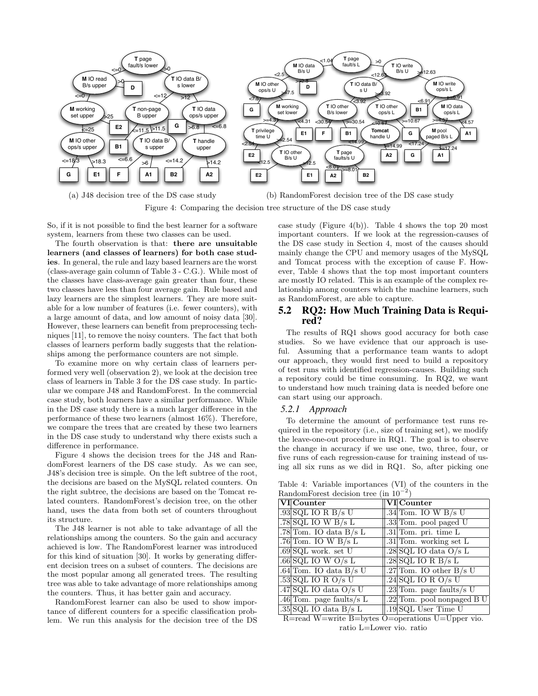

(a) J48 decision tree of the DS case study

(b) RandomForest decision tree of the DS case study

Figure 4: Comparing the decision tree structure of the DS case study

So, if it is not possible to find the best learner for a software system, learners from these two classes can be used.

The fourth observation is that: there are unsuitable learners (and classes of learners) for both case studies. In general, the rule and lazy based learners are the worst (class-average gain column of Table 3 - C.G.). While most of the classes have class-average gain greater than four, these two classes have less than four average gain. Rule based and lazy learners are the simplest learners. They are more suitable for a low number of features (i.e. fewer counters), with a large amount of data, and low amount of noisy data [30]. However, these learners can benefit from preprocessing techniques [11], to remove the noisy counters. The fact that both classes of learners perform badly suggests that the relationships among the performance counters are not simple.

To examine more on why certain class of learners performed very well (observation 2), we look at the decision tree class of learners in Table 3 for the DS case study. In particular we compare J48 and RandomForest. In the commercial case study, both learners have a similar performance. While in the DS case study there is a much larger difference in the performance of these two learners (almost 16%). Therefore, we compare the trees that are created by these two learners in the DS case study to understand why there exists such a difference in performance.

Figure 4 shows the decision trees for the J48 and RandomForest learners of the DS case study. As we can see, J48's decision tree is simple. On the left subtree of the root, the decisions are based on the MySQL related counters. On the right subtree, the decisions are based on the Tomcat related counters. RandomForest's decision tree, on the other hand, uses the data from both set of counters throughout its structure.

The J48 learner is not able to take advantage of all the relationships among the counters. So the gain and accuracy achieved is low. The RandomForest learner was introduced for this kind of situation [30]. It works by generating different decision trees on a subset of counters. The decisions are the most popular among all generated trees. The resulting tree was able to take advantage of more relationships among the counters. Thus, it has better gain and accuracy.

RandomForest learner can also be used to show importance of different counters for a specific classification problem. We run this analysis for the decision tree of the DS case study (Figure 4(b)). Table 4 shows the top 20 most important counters. If we look at the regression-causes of the DS case study in Section 4, most of the causes should mainly change the CPU and memory usages of the MySQL and Tomcat process with the exception of cause F. However, Table 4 shows that the top most important counters are mostly IO related. This is an example of the complex relationship among counters which the machine learners, such as RandomForest, are able to capture.

#### 5.2 RQ2: How Much Training Data is Required?

The results of RQ1 shows good accuracy for both case studies. So we have evidence that our approach is useful. Assuming that a performance team wants to adopt our approach, they would first need to build a repository of test runs with identified regression-causes. Building such a repository could be time consuming. In RQ2, we want to understand how much training data is needed before one can start using our approach.

#### *5.2.1 Approach*

To determine the amount of performance test runs required in the repository (i.e., size of training set), we modify the leave-one-out procedure in RQ1. The goal is to observe the change in accuracy if we use one, two, three, four, or five runs of each regression-cause for training instead of using all six runs as we did in RQ1. So, after picking one

Table 4: Variable importances (VI) of the counters in the RandomForest decision tree (in  $10^{-2}$ )

| $ V I $ Counter                |
|--------------------------------|
| .34 Tom. IO W B/s U            |
| .33 Tom. pool paged U          |
| $.31$ Tom. pri. time L         |
| .31 Tom. working set $L$       |
| .28 SQL IO data $O/s$ L        |
| .28 SQL IO R B/s L             |
| .27 Tom. IO other $B/s$ U      |
| .24 SQL IO R O/s U             |
| .23 Tom. page faults/s U       |
| .22 Tom. pool nonpaged $B$ U   |
| $19S\overline{QL}$ User Time U |
|                                |

R=read W=write B=bytes O=operations U=Upper vio. ratio L=Lower vio. ratio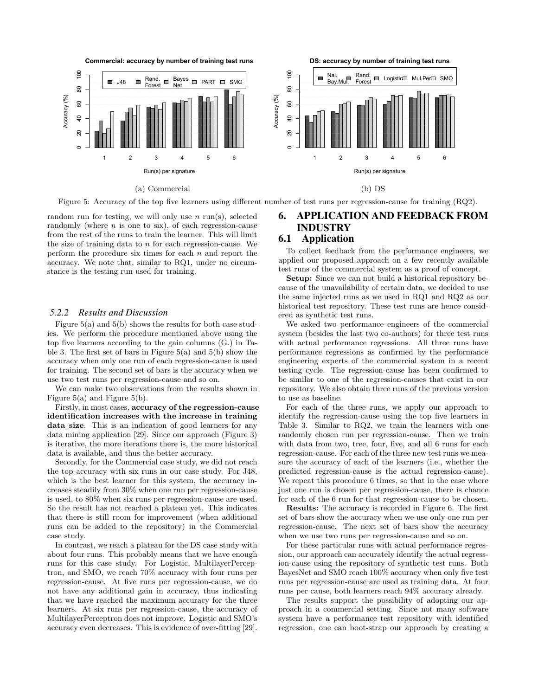

Figure 5: Accuracy of the top five learners using different number of test runs per regression-cause for training (RQ2).

random run for testing, we will only use  $n \text{ run(s)}$ , selected randomly (where  $n$  is one to six), of each regression-cause from the rest of the runs to train the learner. This will limit the size of training data to n for each regression-cause. We perform the procedure six times for each  $n$  and report the accuracy. We note that, similar to RQ1, under no circumstance is the testing run used for training.

#### *5.2.2 Results and Discussion*

Figure 5(a) and 5(b) shows the results for both case studies. We perform the procedure mentioned above using the top five learners according to the gain columns (G.) in Table 3. The first set of bars in Figure 5(a) and 5(b) show the accuracy when only one run of each regression-cause is used for training. The second set of bars is the accuracy when we use two test runs per regression-cause and so on.

We can make two observations from the results shown in Figure 5(a) and Figure 5(b).

Firstly, in most cases, accuracy of the regression-cause identification increases with the increase in training data size. This is an indication of good learners for any data mining application [29]. Since our approach (Figure 3) is iterative, the more iterations there is, the more historical data is available, and thus the better accuracy.

Secondly, for the Commercial case study, we did not reach the top accuracy with six runs in our case study. For J48, which is the best learner for this system, the accuracy increases steadily from 30% when one run per regression-cause is used, to 80% when six runs per regression-cause are used. So the result has not reached a plateau yet. This indicates that there is still room for improvement (when additional runs can be added to the repository) in the Commercial case study.

In contrast, we reach a plateau for the DS case study with about four runs. This probably means that we have enough runs for this case study. For Logistic, MultilayerPerceptron, and SMO, we reach 70% accuracy with four runs per regression-cause. At five runs per regression-cause, we do not have any additional gain in accuracy, thus indicating that we have reached the maximum accuracy for the three learners. At six runs per regression-cause, the accuracy of MultilayerPerceptron does not improve. Logistic and SMO's accuracy even decreases. This is evidence of over-fitting [29].

# 6. APPLICATION AND FEEDBACK FROM INDUSTRY

#### 6.1 Application

To collect feedback from the performance engineers, we applied our proposed approach on a few recently available test runs of the commercial system as a proof of concept.

Setup: Since we can not build a historical repository because of the unavailability of certain data, we decided to use the same injected runs as we used in RQ1 and RQ2 as our historical test repository. These test runs are hence considered as synthetic test runs.

We asked two performance engineers of the commercial system (besides the last two co-authors) for three test runs with actual performance regressions. All three runs have performance regressions as confirmed by the performance engineering experts of the commercial system in a recent testing cycle. The regression-cause has been confirmed to be similar to one of the regression-causes that exist in our repository. We also obtain three runs of the previous version to use as baseline.

For each of the three runs, we apply our approach to identify the regression-cause using the top five learners in Table 3. Similar to RQ2, we train the learners with one randomly chosen run per regression-cause. Then we train with data from two, tree, four, five, and all 6 runs for each regression-cause. For each of the three new test runs we measure the accuracy of each of the learners (i.e., whether the predicted regression-cause is the actual regression-cause). We repeat this procedure 6 times, so that in the case where just one run is chosen per regression-cause, there is chance for each of the 6 run for that regression-cause to be chosen.

Results: The accuracy is recorded in Figure 6. The first set of bars show the accuracy when we use only one run per regression-cause. The next set of bars show the accuracy when we use two runs per regression-cause and so on.

For these particular runs with actual performance regression, our approach can accurately identify the actual regression-cause using the repository of synthetic test runs. Both BayesNet and SMO reach 100% accuracy when only five test runs per regression-cause are used as training data. At four runs per cause, both learners reach 94% accuracy already.

The results support the possibility of adopting our approach in a commercial setting. Since not many software system have a performance test repository with identified regression, one can boot-strap our approach by creating a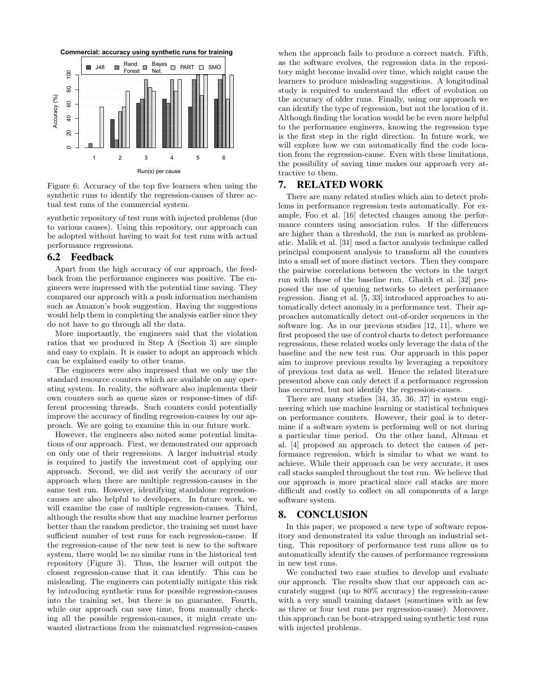

Figure 6: Accuracy of the top five learners when using the synthetic runs to identify the regression-causes of three actual test runs of the commercial system.

synthetic repository of test runs with injected problems (due to various causes). Using this repository, our approach can be adopted without having to wait for test runs with actual performance regressions.

#### 6.2 Feedback

Apart from the high accuracy of our approach, the feedback from the performance engineers was positive. The engineers were impressed with the potential time saving. They compared our approach with a push information mechanism such as Amazon's book suggestion. Having the suggestions would help them in completing the analysis earlier since they do not have to go through all the data.

More importantly, the engineers said that the violation ratios that we produced in Step A (Section 3) are simple and easy to explain. It is easier to adopt an approach which can be explained easily to other teams.

The engineers were also impressed that we only use the standard resource counters which are available on any operating system. In reality, the software also implements their own counters such as queue sizes or response-times of different processing threads. Such counters could potentially improve the accuracy of finding regression-causes by our approach. We are going to examine this in our future work.

However, the engineers also noted some potential limitations of our approach. First, we demonstrated our approach on only one of their regressions. A larger industrial study is required to justify the investment cost of applying our approach. Second, we did not verify the accuracy of our approach when there are multiple regression-causes in the same test run. However, identifying standalone regressioncauses are also helpful to developers. In future work, we will examine the case of multiple regression-causes. Third, although the results show that any machine learner performs better than the random predictor, the training set must have sufficient number of test runs for each regression-cause. If the regression-cause of the new test is new to the software system, there would be no similar runs in the historical test repository (Figure 3). Thus, the learner will output the closest regression-cause that it can identify. This can be misleading. The engineers can potentially mitigate this risk by introducing synthetic runs for possible regression-causes into the training set, but there is no guarantee. Fourth, while our approach can save time, from manually checking all the possible regression-causes, it might create unwanted distractions from the mismatched regression-causes when the approach fails to produce a correct match. Fifth, as the software evolves, the regression data in the repository might become invalid over time, which might cause the learners to produce misleading suggestions. A longitudinal study is required to understand the effect of evolution on the accuracy of older runs. Finally, using our approach we can identify the type of regression, but not the location of it. Although finding the location would be be even more helpful to the performance engineers, knowing the regression type is the first step in the right direction. In future work, we will explore how we can automatically find the code location from the regression-cause. Even with these limitations, the possibility of saving time makes our approach very attractive to them.

#### 7. RELATED WORK

There are many related studies which aim to detect problems in performance regression tests automatically. For example, Foo et al. [16] detected changes among the performance counters using association rules. If the differences are higher than a threshold, the run is marked as problematic. Malik et al. [31] used a factor analysis technique called principal component analysis to transform all the counters into a small set of more distinct vectors. Then they compare the pairwise correlations between the vectors in the target run with those of the baseline run. Ghaith et al. [32] proposed the use of queuing networks to detect performance regression. Jiang et al. [5, 33] introduced approaches to automatically detect anomaly in a performance test. Their approaches automatically detect out-of-order sequences in the software log. As in our previous studies [12, 11], where we first proposed the use of control charts to detect performance regressions, these related works only leverage the data of the baseline and the new test run. Our approach in this paper aim to improve previous results by leveraging a repository of previous test data as well. Hence the related literature presented above can only detect if a performance regression has occurred, but not identify the regression-causes.

There are many studies [34, 35, 36, 37] in system engineering which use machine learning or statistical techniques on performance counters. However, their goal is to determine if a software system is performing well or not during a particular time period. On the other hand, Altman et al. [4] proposed an approach to detect the causes of performance regression, which is similar to what we want to achieve. While their approach can be very accurate, it uses call stacks sampled throughout the test run. We believe that our approach is more practical since call stacks are more difficult and costly to collect on all components of a large software system.

#### 8. CONCLUSION

In this paper, we proposed a new type of software repository and demonstrated its value through an industrial setting. This repository of performance test runs allow us to automatically identify the causes of performance regressions in new test runs.

We conducted two case studies to develop and evaluate our approach. The results show that our approach can accurately suggest (up to 80% accuracy) the regression-cause with a very small training dataset (sometimes with as few as three or four test runs per regression-cause). Moreover, this approach can be boot-strapped using synthetic test runs with injected problems.